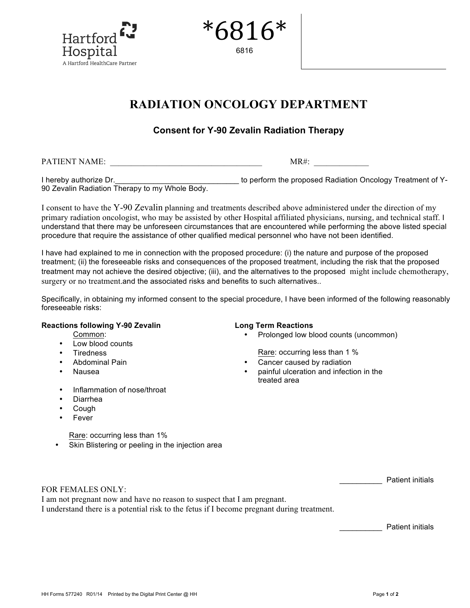

| 6816<br>$\star$ |  |
|-----------------|--|
| 6816            |  |

# **RADIATION ONCOLOGY DEPARTMENT**

# **Consent for Y-90 Zevalin Radiation Therapy**

PATIENT NAME:  $MR#$ :

I hereby authorize Dr. \_\_\_\_\_\_\_\_\_\_\_\_\_\_\_\_\_\_\_\_\_\_\_\_\_\_\_\_\_\_\_\_\_ to perform the proposed Radiation Oncology Treatment of Y-90 Zevalin Radiation Therapy to my Whole Body.

I consent to have the Y-90 Zevalin planning and treatments described above administered under the direction of my primary radiation oncologist, who may be assisted by other Hospital affiliated physicians, nursing, and technical staff. I understand that there may be unforeseen circumstances that are encountered while performing the above listed special procedure that require the assistance of other qualified medical personnel who have not been identified.

I have had explained to me in connection with the proposed procedure: (i) the nature and purpose of the proposed treatment; (ii) the foreseeable risks and consequences of the proposed treatment, including the risk that the proposed treatment may not achieve the desired objective; (iii), and the alternatives to the proposed might include chemotherapy, surgery or no treatment.and the associated risks and benefits to such alternatives..

Specifically, in obtaining my informed consent to the special procedure, I have been informed of the following reasonably foreseeable risks:

#### **Reactions following Y-90 Zevalin Long Term Reactions**

Common:

- Low blood counts
- 
- 
- 
- Inflammation of nose/throat
- Diarrhea
- Cough
- **Fever**

### • Prolonged low blood counts (uncommon)

**Firedness Figure 2.1 Tiredness Rare: occurring less than 1 %** 

- Abdominal Pain  **Cancer caused by radiation** 
	- Nausea painful ulceration and infection in the treated area

| Rare: occurring less than 1% |  |  |
|------------------------------|--|--|
|------------------------------|--|--|

• Skin Blistering or peeling in the injection area

\_\_\_\_\_\_\_\_\_\_ Patient initials

I am not pregnant now and have no reason to suspect that I am pregnant. I understand there is a potential risk to the fetus if I become pregnant during treatment.

\_\_\_\_\_\_\_\_\_\_ Patient initials